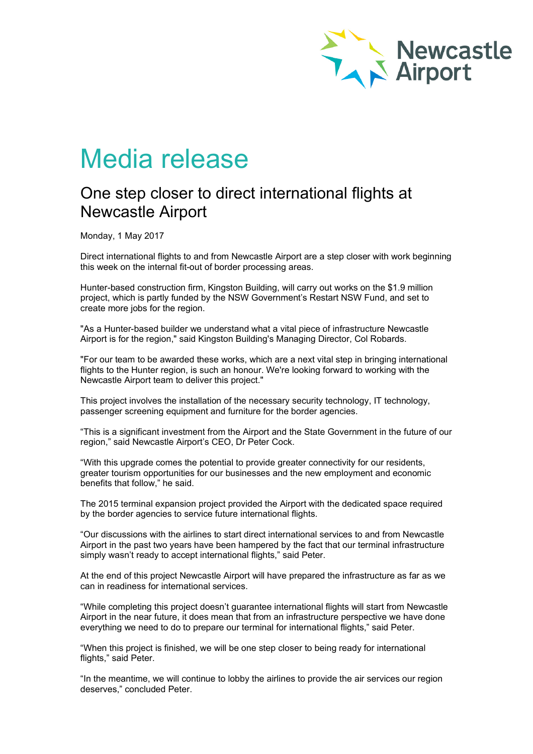

## Media release

## One step closer to direct international flights at Newcastle Airport

Monday, 1 May 2017

Direct international flights to and from Newcastle Airport are a step closer with work beginning this week on the internal fit-out of border processing areas.

Hunter-based construction firm, Kingston Building, will carry out works on the \$1.9 million project, which is partly funded by the NSW Government's Restart NSW Fund, and set to create more jobs for the region.

"As a Hunter-based builder we understand what a vital piece of infrastructure Newcastle Airport is for the region," said Kingston Building's Managing Director, Col Robards.

"For our team to be awarded these works, which are a next vital step in bringing international flights to the Hunter region, is such an honour. We're looking forward to working with the Newcastle Airport team to deliver this project."

This project involves the installation of the necessary security technology, IT technology, passenger screening equipment and furniture for the border agencies.

"This is a significant investment from the Airport and the State Government in the future of our region," said Newcastle Airport's CEO, Dr Peter Cock.

"With this upgrade comes the potential to provide greater connectivity for our residents, greater tourism opportunities for our businesses and the new employment and economic benefits that follow," he said.

The 2015 terminal expansion project provided the Airport with the dedicated space required by the border agencies to service future international flights.

"Our discussions with the airlines to start direct international services to and from Newcastle Airport in the past two years have been hampered by the fact that our terminal infrastructure simply wasn't ready to accept international flights," said Peter.

At the end of this project Newcastle Airport will have prepared the infrastructure as far as we can in readiness for international services.

"While completing this project doesn't guarantee international flights will start from Newcastle Airport in the near future, it does mean that from an infrastructure perspective we have done everything we need to do to prepare our terminal for international flights," said Peter.

"When this project is finished, we will be one step closer to being ready for international flights," said Peter.

"In the meantime, we will continue to lobby the airlines to provide the air services our region deserves," concluded Peter.